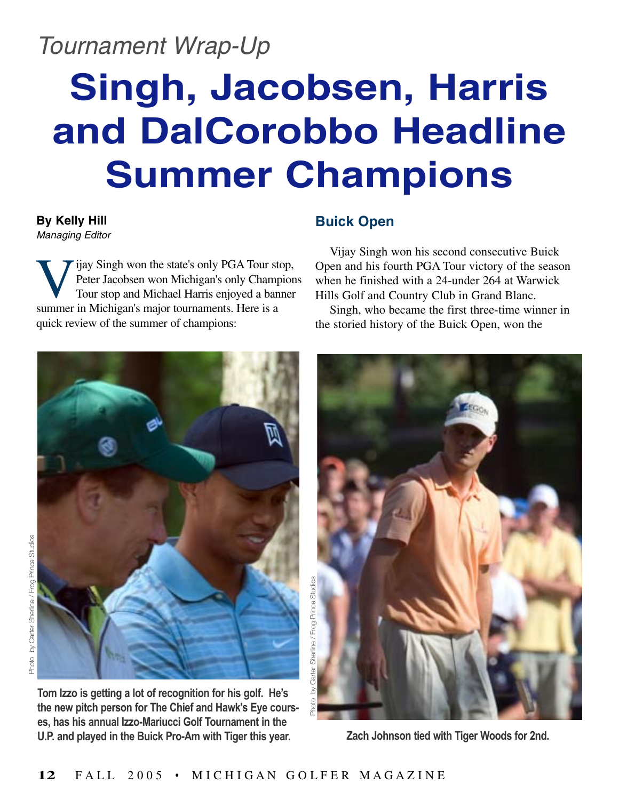### Tournament Wrap-Up

# **Singh, Jacobsen, Harris and DalCorobbo Headline Summer Champions**

**By Kelly Hill** Managing Editor

Vijay Singh won the state's only PGA Tour stop,<br>Peter Jacobsen won Michigan's only Champion<br>Tour stop and Michael Harris enjoyed a banner<br>summer in Michigan's major tournaments. Here is a Peter Jacobsen won Michigan's only Champions Tour stop and Michael Harris enjoyed a banner summer in Michigan's major tournaments. Here is a quick review of the summer of champions:

#### **Buick Open**

Vijay Singh won his second consecutive Buick Open and his fourth PGA Tour victory of the season when he finished with a 24-under 264 at Warwick Hills Golf and Country Club in Grand Blanc.

Singh, who became the first three-time winner in the storied history of the Buick Open, won the



**Tom Izzo is getting a lot of recognition for his golf. He's the new pitch person for The Chief and Hawk's Eye courses, has his annual Izzo-Mariucci Golf Tournament in the U.P. and played in the Buick Pro-Am with Tiger this year.**



**Zach Johnson tied with Tiger Woods for 2nd.**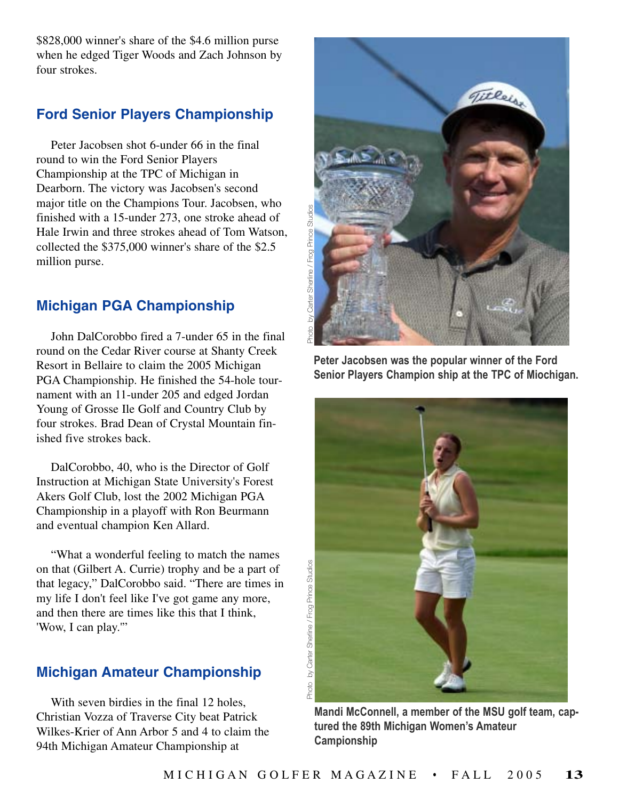\$828,000 winner's share of the \$4.6 million purse when he edged Tiger Woods and Zach Johnson by four strokes.

#### **Ford Senior Players Championship**

Peter Jacobsen shot 6-under 66 in the final round to win the Ford Senior Players Championship at the TPC of Michigan in Dearborn. The victory was Jacobsen's second major title on the Champions Tour. Jacobsen, who finished with a 15-under 273, one stroke ahead of Hale Irwin and three strokes ahead of Tom Watson, collected the \$375,000 winner's share of the \$2.5 million purse.

#### **Michigan PGA Championship**

John DalCorobbo fired a 7-under 65 in the final round on the Cedar River course at Shanty Creek Resort in Bellaire to claim the 2005 Michigan PGA Championship. He finished the 54-hole tournament with an 11-under 205 and edged Jordan Young of Grosse Ile Golf and Country Club by four strokes. Brad Dean of Crystal Mountain finished five strokes back.

DalCorobbo, 40, who is the Director of Golf Instruction at Michigan State University's Forest Akers Golf Club, lost the 2002 Michigan PGA Championship in a playoff with Ron Beurmann and eventual champion Ken Allard.

"What a wonderful feeling to match the names on that (Gilbert A. Currie) trophy and be a part of that legacy," DalCorobbo said. "There are times in my life I don't feel like I've got game any more, and then there are times like this that I think, 'Wow, I can play.'"

#### **Michigan Amateur Championship**

With seven birdies in the final 12 holes, Christian Vozza of Traverse City beat Patrick Wilkes-Krier of Ann Arbor 5 and 4 to claim the 94th Michigan Amateur Championship at



**Peter Jacobsen was the popular winner of the Ford Senior Players Champion ship at the TPC of Miochigan.**



**Mandi McConnell, a member of the MSU golf team, captured the 89th Michigan Women's Amateur Campionship**